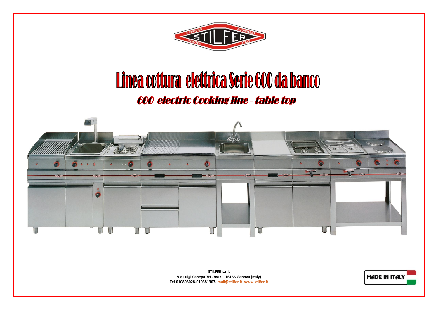

## Linea cottura elettrica Serie 600 da banco 600 electric Cooking line - table top



**STILFER s.r.l. Via Luigi Canepa 7H -7M r – 16165 Genova (Italy) Tel.010803028-010381307- [mail@stilfer.it](mailto:mail@stilfer.it) [www.stilfer.it](http://www.stilfer.it/)**

**MADE IN ITALY**